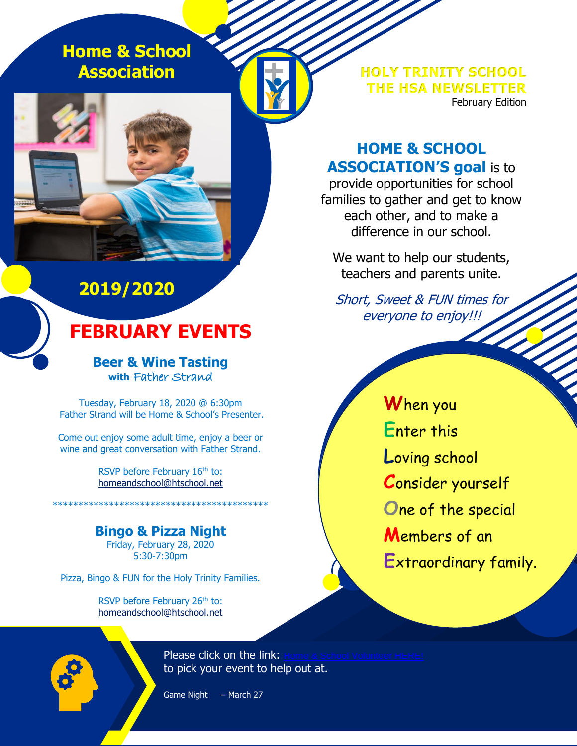**Home & School Association**

## **2019/2020**

## **FEBRUARY EVENTS**

**Beer & Wine Tasting with** Father Strand

Tuesday, February 18, 2020 @ 6:30pm Father Strand will be Home & School's Presenter.

Come out enjoy some adult time, enjoy a beer or wine and great conversation with Father Strand.

> RSVP before February 16<sup>th</sup> to: [homeandschool@htschool.net](mailto:homeandschool@htschool.net)

**Bingo & Pizza Night** Friday, February 28, 2020 5:30-7:30pm

\*\*\*\*\*\*\*\*\*\*\*\*\*\*\*\*\*\*\*\*\*\*\*\*\*\*\*\*\*\*\*\*\*\*\*\*\*\*\*\*\*\*

Pizza, Bingo & FUN for the Holy Trinity Families.

RSVP before February 26<sup>th</sup> to: [homeandschool@htschool.net](mailto:homeandschool@htschool.net) **HOLY TRINITY SCHOOL THE HSA NEWSLETTER** February Edition

### **HOME & SCHOOL ASSOCIATION'S goal** is to

provide opportunities for school families to gather and get to know each other, and to make a difference in our school.

We want to help our students, teachers and parents unite.

Short, Sweet & FUN times for everyone to enjoy!!!

**W**hen you **E**nter this **L**oving school **C**onsider yourself **O**ne of the special **M**embers of an **E**xtraordinary family.

Please click on the link: Home & School Volunteer HERE! to pick your event to help out at.

Game Night – March 27